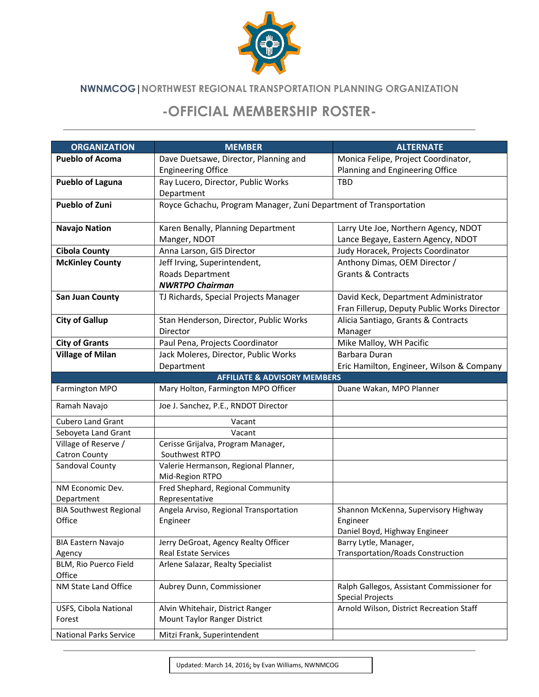

## **NWNMCOG|NORTHWEST REGIONAL TRANSPORTATION PLANNING ORGANIZATION**

## **-OFFICIAL MEMBERSHIP ROSTER-**

| <b>ORGANIZATION</b>             | <b>MEMBER</b>                                                     | <b>ALTERNATE</b>                            |
|---------------------------------|-------------------------------------------------------------------|---------------------------------------------|
| <b>Pueblo of Acoma</b>          | Dave Duetsawe, Director, Planning and                             | Monica Felipe, Project Coordinator,         |
|                                 | <b>Engineering Office</b>                                         | Planning and Engineering Office             |
| <b>Pueblo of Laguna</b>         | Ray Lucero, Director, Public Works                                | <b>TBD</b>                                  |
|                                 | Department                                                        |                                             |
| <b>Pueblo of Zuni</b>           | Royce Gchachu, Program Manager, Zuni Department of Transportation |                                             |
| <b>Navajo Nation</b>            | Karen Benally, Planning Department                                | Larry Ute Joe, Northern Agency, NDOT        |
|                                 | Manger, NDOT                                                      | Lance Begaye, Eastern Agency, NDOT          |
| <b>Cibola County</b>            | Anna Larson, GIS Director                                         | Judy Horacek, Projects Coordinator          |
| <b>McKinley County</b>          | Jeff Irving, Superintendent,                                      | Anthony Dimas, OEM Director /               |
|                                 | Roads Department                                                  | <b>Grants &amp; Contracts</b>               |
|                                 | <b>NWRTPO Chairman</b>                                            |                                             |
| <b>San Juan County</b>          | TJ Richards, Special Projects Manager                             | David Keck, Department Administrator        |
|                                 |                                                                   | Fran Fillerup, Deputy Public Works Director |
| <b>City of Gallup</b>           | Stan Henderson, Director, Public Works                            | Alicia Santiago, Grants & Contracts         |
|                                 | Director                                                          | Manager                                     |
| <b>City of Grants</b>           | Paul Pena, Projects Coordinator                                   | Mike Malloy, WH Pacific                     |
| <b>Village of Milan</b>         | Jack Moleres, Director, Public Works                              | Barbara Duran                               |
|                                 | Department                                                        | Eric Hamilton, Engineer, Wilson & Company   |
|                                 | <b>AFFILIATE &amp; ADVISORY MEMBERS</b>                           |                                             |
| Farmington MPO                  | Mary Holton, Farmington MPO Officer                               | Duane Wakan, MPO Planner                    |
| Ramah Navajo                    | Joe J. Sanchez, P.E., RNDOT Director                              |                                             |
| <b>Cubero Land Grant</b>        | Vacant                                                            |                                             |
| Seboyeta Land Grant             | Vacant                                                            |                                             |
| Village of Reserve /            | Cerisse Grijalva, Program Manager,                                |                                             |
| <b>Catron County</b>            | Southwest RTPO                                                    |                                             |
| Sandoval County                 | Valerie Hermanson, Regional Planner,<br>Mid-Region RTPO           |                                             |
| NM Economic Dev.                | Fred Shephard, Regional Community                                 |                                             |
| Department                      | Representative                                                    |                                             |
| <b>BIA Southwest Regional</b>   | Angela Arviso, Regional Transportation                            | Shannon McKenna, Supervisory Highway        |
| Office                          | Engineer                                                          | Engineer                                    |
|                                 |                                                                   | Daniel Boyd, Highway Engineer               |
| BIA Eastern Navajo              | Jerry DeGroat, Agency Realty Officer                              | Barry Lytle, Manager,                       |
| Agency                          | Real Estate Services                                              | <b>Transportation/Roads Construction</b>    |
| BLM, Rio Puerco Field<br>Office | Arlene Salazar, Realty Specialist                                 |                                             |
| NM State Land Office            | Aubrey Dunn, Commissioner                                         | Ralph Gallegos, Assistant Commissioner for  |
|                                 |                                                                   | <b>Special Projects</b>                     |
| USFS, Cibola National           | Alvin Whitehair, District Ranger                                  | Arnold Wilson, District Recreation Staff    |
| Forest                          | Mount Taylor Ranger District                                      |                                             |
| <b>National Parks Service</b>   | Mitzi Frank, Superintendent                                       |                                             |